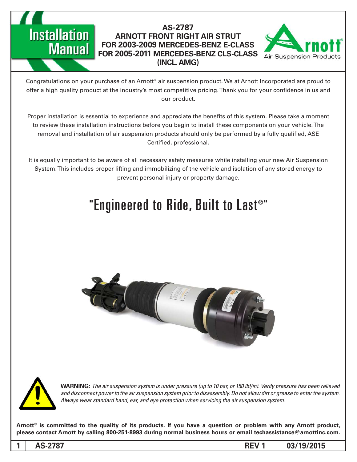# **Installation Manual**

## **AS-2787 ARNOTT FRONT RIGHT AIR STRUT FOR 2003-2009 MERCEDES-BENZ E-CLASS FOR 2005-2011 MERCEDES-BENZ CLS-CLASS (INCL, AMG)**



Congratulations on your purchase of an Arnott® air suspension product. We at Arnott Incorporated are proud to offer a high quality product at the industry's most competitive pricing. Thank you for your confidence in us and our product.

Proper installation is essential to experience and appreciate the benefits of this system. Please take a moment to review these installation instructions before you begin to install these components on your vehicle. The removal and installation of air suspension products should only be performed by a fully qualified, ASE Certified, professional.

It is equally important to be aware of all necessary safety measures while installing your new Air Suspension System. This includes proper lifting and immobilizing of the vehicle and isolation of any stored energy to prevent personal injury or property damage.

# "Engineered to Ride, Built to Last®"





*WARNING: The air suspension system is under pressure (up to 10 bar, or 150 lbf/in). Verify pressure has been relieved* and disconnect power to the air suspension system prior to disassembly. Do not allow dirt or grease to enter the system. Always wear standard hand, ear, and eye protection when servicing the air suspension system.

Arnott<sup>®</sup> is committed to the quality of its products. If you have a question or problem with any Arnott product, please contact Arnott by calling 800-251-8993 during normal business hours or email techassistance@arnottinc.com.

**1**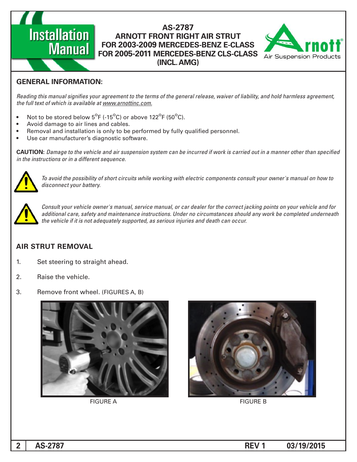## **AS-2787 ARNOTT FRONT RIGHT AIR STRUT FOR 2003-2009 MERCEDES-BENZ E-CLASS FOR 2005-2011 MERCEDES-BENZ CLS-CLASS (INCL, AMG)**



## **GENERAL INFORMATION:**

**Installation** 

**Manual** 

Reading this manual signifies your agreement to the terms of the general release, waiver of liability, and hold harmless agreement, the full text of which is available at www.arnottinc.com.

- Not to be stored below  $5^{\circ}$ F (-15 $^{\circ}$ C) or above 122 $^{\circ}$ F (50 $^{\circ}$ C).
- Avoid damage to air lines and cables.
- Removal and installation is only to be performed by fully qualified personnel.
- Use car manufacturer's diagnostic software.

**CAUTION:** Damage to the vehicle and air suspension system can be incurred if work is carried out in a manner other than specified *in the instructions or in a different sequence.* 



 *to how on manual s'owner your consult components electric with working while circuits short of possibility the avoid To* disconnect your battery.



*Consult your vehicle owner's manual, service manual, or car dealer for the correct jacking points on your vehicle and for* additional care, safety and maintenance instructions. Under no circumstances should any work be completed underneath the vehicle if it is not adequately supported, as serious injuries and death can occur.

### **AIR STRUT REMOVAL**

- 1. Set steering to straight ahead.
- 2. Raise the vehicle.
- 3. Remove front wheel. (FIGURES A, B)



FIGURE A FIGURE B

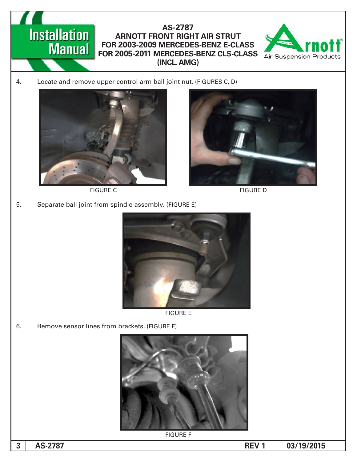#### **Installation**<br>**Manual** AS-2787 **ARNOTT FRONT RIGHT AIR STRUT** FOR 2003-2009 MERCEDES-BENZ E-CLASS FOR 2005-2011 MERCEDES-BENZ CLS-CLASS **(INCL. AMG)**



4. Locate and remove upper control arm ball joint nut. (FIGURES C, D)



FIGURE C FIGURE D



5. Separate ball joint from spindle assembly. (FIGURE E)



**FIGURE E** 

6. Remove sensor lines from brackets. (FIGURE F)



**FIGURE F** 

**3**

**13.2787 13.2787 13.2787 13.2787 13.2787 13.2787**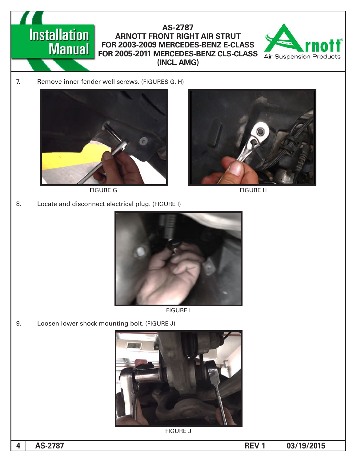# AS-2787 **ARNOTT FRONT RIGHT AIR STRUT** FOR 2003-2009 MERCEDES-BENZ E-CLASS FOR 2005-2011 MERCEDES-BENZ CLS-CLASS **(INCL. AMG)**



7. Remove inner fender well screws. (FIGURES G, H)

**Installation** 

**Manual** 



FIGURE G FIGURE H

8. Locate and disconnect electrical plug. (FIGURE I)







9. Loosen lower shock mounting bolt. (FIGURE J)



**FIGURE J**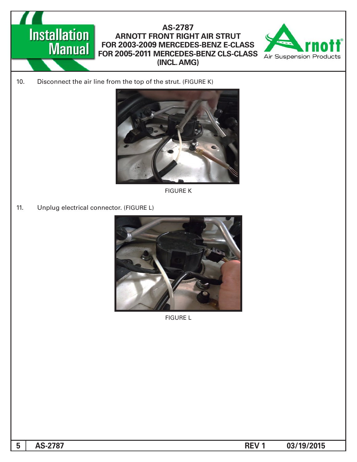

# AS-2787 **ARNOTT FRONT RIGHT AIR STRUT** FOR 2003-2009 MERCEDES-BENZ E-CLASS FOR 2005-2011 MERCEDES-BENZ CLS-CLASS **(INCL. AMG)**



10. Disconnect the air line from the top of the strut. (FIGURE K)



**FIGURE K** 

11. Unplug electrical connector. (FIGURE L)



**FIGURE L** 

**13.2787 13.2787 13.2787 13.2787 13.2787 13.2787**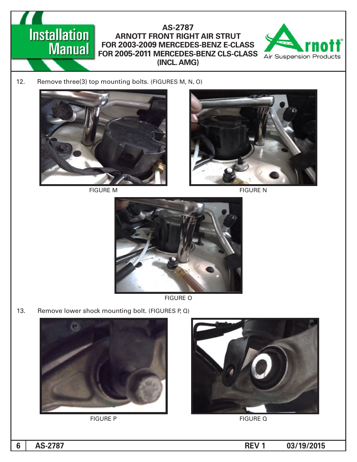



12. Remove three(3) top mounting bolts. (FIGURES M, N, O)



FIGURE M FIGURE M





**FIGURE O** 

13. Remove lower shock mounting bolt. (FIGURES P,  $Q$ )







**6**

**13.2787 13.2787 13.2787 13.2787 13.2787 13.2787**